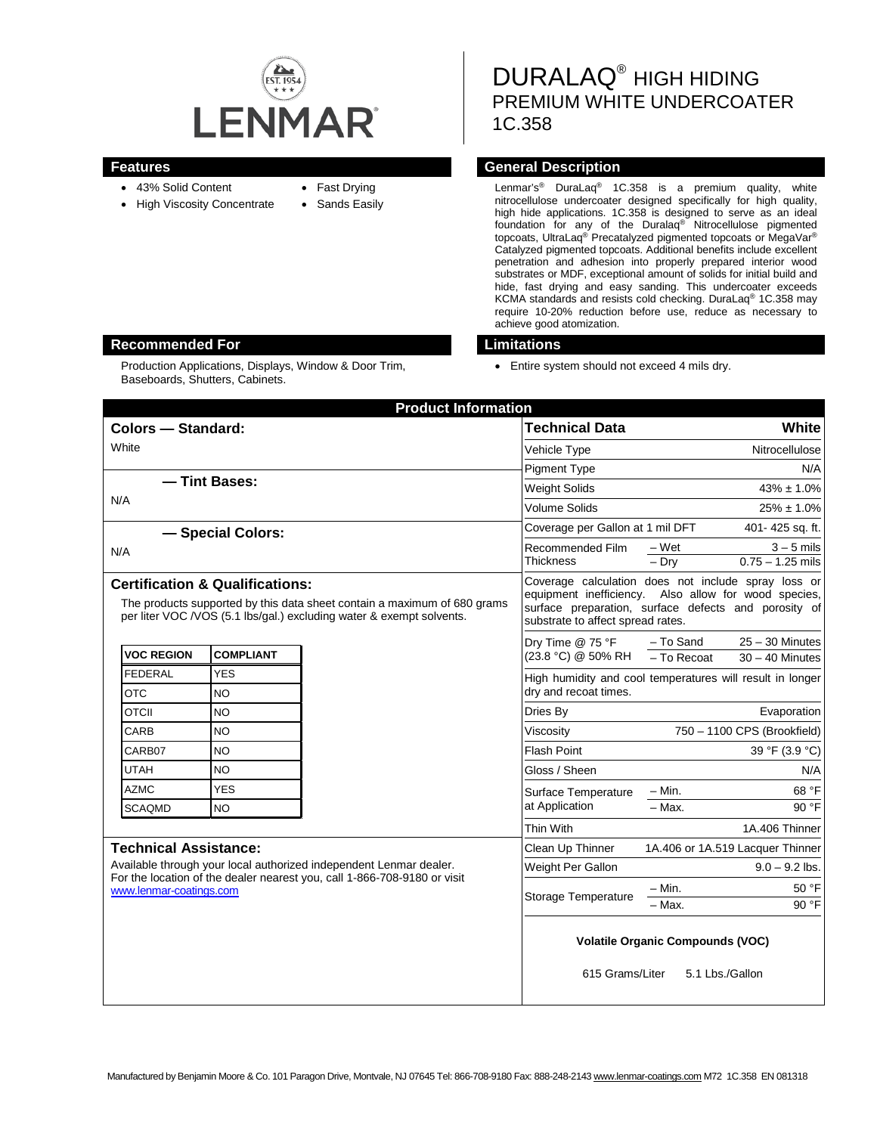

- 43% Solid Content
- High Viscosity Concentrate
- Fast Drying
- Sands Easily

DURALAQ® HIGH HIDING PREMIUM WHITE UNDERCOATER 1C.358

# **Features Features General Description**

Lenmar's® DuraLaq® 1C.358 is a premium quality, white nitrocellulose undercoater designed specifically for high quality, high hide applications. 1C.358 is designed to serve as an ideal foundation for any of the Duralaq® Nitrocellulose pigmented topcoats, UltraLaq® Precatalyzed pigmented topcoats or MegaVar® Catalyzed pigmented topcoats. Additional benefits include excellent penetration and adhesion into properly prepared interior wood substrates or MDF, exceptional amount of solids for initial build and hide, fast drying and easy sanding. This undercoater exceeds KCMA standards and resists cold checking. DuraLaq® 1C.358 may require 10-20% reduction before use, reduce as necessary to achieve good atomization.

• Entire system should not exceed 4 mils dry.

| <b>Product Information</b>                                                                                                                                                                                |                  |                                                                                                                                                                                                          |                                  |
|-----------------------------------------------------------------------------------------------------------------------------------------------------------------------------------------------------------|------------------|----------------------------------------------------------------------------------------------------------------------------------------------------------------------------------------------------------|----------------------------------|
| <b>Colors - Standard:</b>                                                                                                                                                                                 |                  | <b>Technical Data</b>                                                                                                                                                                                    | White                            |
| White                                                                                                                                                                                                     |                  | Vehicle Type                                                                                                                                                                                             | Nitrocellulose                   |
|                                                                                                                                                                                                           |                  | <b>Pigment Type</b>                                                                                                                                                                                      | N/A                              |
| - Tint Bases:<br>N/A                                                                                                                                                                                      |                  | <b>Weight Solids</b>                                                                                                                                                                                     | $43\% \pm 1.0\%$                 |
|                                                                                                                                                                                                           |                  | <b>Volume Solids</b>                                                                                                                                                                                     | $25\% \pm 1.0\%$                 |
| - Special Colors:                                                                                                                                                                                         |                  | Coverage per Gallon at 1 mil DFT                                                                                                                                                                         | 401-425 sq. ft.                  |
| N/A                                                                                                                                                                                                       |                  | Recommended Film                                                                                                                                                                                         | $-Wet$<br>$3 - 5$ mils           |
|                                                                                                                                                                                                           |                  | <b>Thickness</b>                                                                                                                                                                                         | $0.75 - 1.25$ mils<br>$-$ Drv    |
| <b>Certification &amp; Qualifications:</b><br>The products supported by this data sheet contain a maximum of 680 grams<br>per liter VOC /VOS (5.1 lbs/gal.) excluding water & exempt solvents.            |                  | Coverage calculation does not include spray loss or<br>equipment inefficiency. Also allow for wood species,<br>surface preparation, surface defects and porosity of<br>substrate to affect spread rates. |                                  |
|                                                                                                                                                                                                           | Dry Time @ 75 °F |                                                                                                                                                                                                          | - To Sand<br>$25 - 30$ Minutes   |
| <b>VOC REGION</b><br><b>COMPLIANT</b>                                                                                                                                                                     |                  | (23.8 °C) @ 50% RH                                                                                                                                                                                       | - To Recoat<br>$30 - 40$ Minutes |
| <b>FEDERAL</b><br>YES<br><b>OTC</b><br>NO                                                                                                                                                                 |                  | High humidity and cool temperatures will result in longer<br>dry and recoat times.                                                                                                                       |                                  |
| <b>OTCII</b><br><b>NO</b>                                                                                                                                                                                 |                  | Dries By                                                                                                                                                                                                 | Evaporation                      |
| CARB<br><b>NO</b>                                                                                                                                                                                         |                  | Viscosity                                                                                                                                                                                                | 750 - 1100 CPS (Brookfield)      |
| CARB07<br>NO.                                                                                                                                                                                             |                  | <b>Flash Point</b>                                                                                                                                                                                       | 39 °F (3.9 °C)                   |
| <b>UTAH</b><br><b>NO</b>                                                                                                                                                                                  |                  | Gloss / Sheen                                                                                                                                                                                            | N/A                              |
| <b>YES</b><br><b>AZMC</b>                                                                                                                                                                                 |                  | Surface Temperature                                                                                                                                                                                      | $- Min.$<br>68 °F                |
| <b>SCAQMD</b><br>NO.                                                                                                                                                                                      |                  | at Application                                                                                                                                                                                           | $-$ Max.<br>90 °F                |
|                                                                                                                                                                                                           |                  | Thin With                                                                                                                                                                                                | 1A.406 Thinner                   |
| <b>Technical Assistance:</b><br>Available through your local authorized independent Lenmar dealer.<br>For the location of the dealer nearest you, call 1-866-708-9180 or visit<br>www.lenmar-coatings.com |                  | Clean Up Thinner                                                                                                                                                                                         | 1A.406 or 1A.519 Lacquer Thinner |
|                                                                                                                                                                                                           |                  | Weight Per Gallon                                                                                                                                                                                        | $9.0 - 9.2$ lbs.                 |
|                                                                                                                                                                                                           |                  | Storage Temperature                                                                                                                                                                                      | $- Min.$<br>50 °F                |
|                                                                                                                                                                                                           |                  |                                                                                                                                                                                                          | - Max.<br>90 °F                  |
|                                                                                                                                                                                                           |                  | <b>Volatile Organic Compounds (VOC)</b><br>615 Grams/Liter<br>5.1 Lbs./Gallon                                                                                                                            |                                  |

## **Recommended For Limitations**

Production Applications, Displays, Window & Door Trim, Baseboards, Shutters, Cabinets.